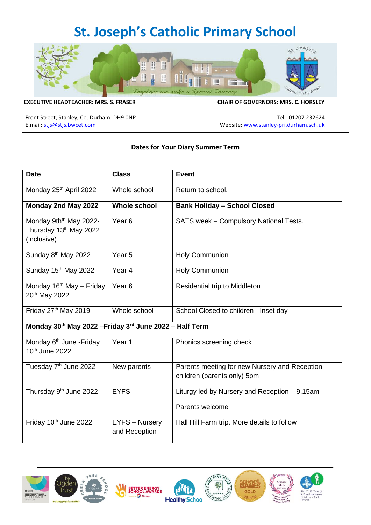## **St. Joseph's Catholic Primary School**



## **EXECUTIVE HEADTEACHER: MRS. S. FRASER CHAIR OF GOVERNORS: MRS. C. HORSLEY**

Front Street, Stanley, Co. Durham. DH9 0NP Tel: 01207 232624 E.mail: [stjs@stjs.bwcet.com](mailto:stjs@stjs.bwcet.com) and a state of the state of the state of the Website[: www.stanley-pri.durham.sch.uk](http://www.stanley-pri.durham.sch.uk/)

## **Dates for Your Diary Summer Term**

| <b>Date</b>                                                                             | <b>Class</b>                           | <b>Event</b>                                                                 |  |
|-----------------------------------------------------------------------------------------|----------------------------------------|------------------------------------------------------------------------------|--|
| Monday 25 <sup>th</sup> April 2022                                                      | Whole school                           | Return to school.                                                            |  |
| Monday 2nd May 2022                                                                     | <b>Whole school</b>                    | <b>Bank Holiday - School Closed</b>                                          |  |
| Monday 9th <sup>th</sup> May 2022-<br>Thursday 13 <sup>th</sup> May 2022<br>(inclusive) | Year <sub>6</sub>                      | SATS week - Compulsory National Tests.                                       |  |
| Sunday 8 <sup>th</sup> May 2022                                                         | Year <sub>5</sub>                      | <b>Holy Communion</b>                                                        |  |
| Sunday 15 <sup>th</sup> May 2022                                                        | Year <sub>4</sub>                      | <b>Holy Communion</b>                                                        |  |
| Monday 16 <sup>th</sup> May - Friday<br>20 <sup>th</sup> May 2022                       | Year <sub>6</sub>                      | Residential trip to Middleton                                                |  |
| Friday 27th May 2019                                                                    | Whole school                           | School Closed to children - Inset day                                        |  |
| Monday 30th May 2022 - Friday 3rd June 2022 - Half Term                                 |                                        |                                                                              |  |
| Monday 6 <sup>th</sup> June - Friday<br>10th June 2022                                  | Year 1                                 | Phonics screening check                                                      |  |
| Tuesday 7 <sup>th</sup> June 2022                                                       | New parents                            | Parents meeting for new Nursery and Reception<br>children (parents only) 5pm |  |
| Thursday 9 <sup>th</sup> June 2022                                                      | <b>EYFS</b>                            | Liturgy led by Nursery and Reception - 9.15am                                |  |
|                                                                                         |                                        | Parents welcome                                                              |  |
| Friday 10th June 2022                                                                   | <b>EYFS - Nursery</b><br>and Reception | Hall Hill Farm trip. More details to follow                                  |  |